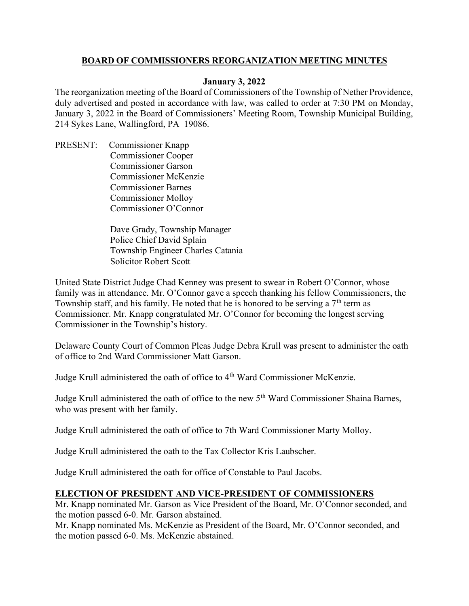### BOARD OF COMMISSIONERS REORGANIZATION MEETING MINUTES

### January 3, 2022

The reorganization meeting of the Board of Commissioners of the Township of Nether Providence, duly advertised and posted in accordance with law, was called to order at 7:30 PM on Monday, January 3, 2022 in the Board of Commissioners' Meeting Room, Township Municipal Building, 214 Sykes Lane, Wallingford, PA 19086.

PRESENT: Commissioner Knapp Commissioner Cooper Commissioner Garson Commissioner McKenzie Commissioner Barnes Commissioner Molloy Commissioner O'Connor

> Dave Grady, Township Manager Police Chief David Splain Township Engineer Charles Catania Solicitor Robert Scott

United State District Judge Chad Kenney was present to swear in Robert O'Connor, whose family was in attendance. Mr. O'Connor gave a speech thanking his fellow Commissioners, the Township staff, and his family. He noted that he is honored to be serving a  $7<sup>th</sup>$  term as Commissioner. Mr. Knapp congratulated Mr. O'Connor for becoming the longest serving Commissioner in the Township's history.

Delaware County Court of Common Pleas Judge Debra Krull was present to administer the oath of office to 2nd Ward Commissioner Matt Garson.

Judge Krull administered the oath of office to 4<sup>th</sup> Ward Commissioner McKenzie.

Judge Krull administered the oath of office to the new 5<sup>th</sup> Ward Commissioner Shaina Barnes, who was present with her family.

Judge Krull administered the oath of office to 7th Ward Commissioner Marty Molloy.

Judge Krull administered the oath to the Tax Collector Kris Laubscher.

Judge Krull administered the oath for office of Constable to Paul Jacobs.

# ELECTION OF PRESIDENT AND VICE-PRESIDENT OF COMMISSIONERS

Mr. Knapp nominated Mr. Garson as Vice President of the Board, Mr. O'Connor seconded, and the motion passed 6-0. Mr. Garson abstained.

Mr. Knapp nominated Ms. McKenzie as President of the Board, Mr. O'Connor seconded, and the motion passed 6-0. Ms. McKenzie abstained.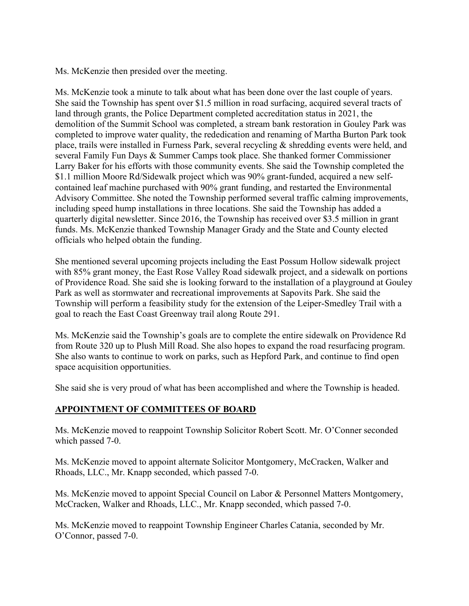Ms. McKenzie then presided over the meeting.

Ms. McKenzie took a minute to talk about what has been done over the last couple of years. She said the Township has spent over \$1.5 million in road surfacing, acquired several tracts of land through grants, the Police Department completed accreditation status in 2021, the demolition of the Summit School was completed, a stream bank restoration in Gouley Park was completed to improve water quality, the rededication and renaming of Martha Burton Park took place, trails were installed in Furness Park, several recycling & shredding events were held, and several Family Fun Days & Summer Camps took place. She thanked former Commissioner Larry Baker for his efforts with those community events. She said the Township completed the \$1.1 million Moore Rd/Sidewalk project which was 90% grant-funded, acquired a new selfcontained leaf machine purchased with 90% grant funding, and restarted the Environmental Advisory Committee. She noted the Township performed several traffic calming improvements, including speed hump installations in three locations. She said the Township has added a quarterly digital newsletter. Since 2016, the Township has received over \$3.5 million in grant funds. Ms. McKenzie thanked Township Manager Grady and the State and County elected officials who helped obtain the funding.

She mentioned several upcoming projects including the East Possum Hollow sidewalk project with 85% grant money, the East Rose Valley Road sidewalk project, and a sidewalk on portions of Providence Road. She said she is looking forward to the installation of a playground at Gouley Park as well as stormwater and recreational improvements at Sapovits Park. She said the Township will perform a feasibility study for the extension of the Leiper-Smedley Trail with a goal to reach the East Coast Greenway trail along Route 291.

Ms. McKenzie said the Township's goals are to complete the entire sidewalk on Providence Rd from Route 320 up to Plush Mill Road. She also hopes to expand the road resurfacing program. She also wants to continue to work on parks, such as Hepford Park, and continue to find open space acquisition opportunities.

She said she is very proud of what has been accomplished and where the Township is headed.

# APPOINTMENT OF COMMITTEES OF BOARD

Ms. McKenzie moved to reappoint Township Solicitor Robert Scott. Mr. O'Conner seconded which passed 7-0.

Ms. McKenzie moved to appoint alternate Solicitor Montgomery, McCracken, Walker and Rhoads, LLC., Mr. Knapp seconded, which passed 7-0.

Ms. McKenzie moved to appoint Special Council on Labor & Personnel Matters Montgomery, McCracken, Walker and Rhoads, LLC., Mr. Knapp seconded, which passed 7-0.

Ms. McKenzie moved to reappoint Township Engineer Charles Catania, seconded by Mr. O'Connor, passed 7-0.